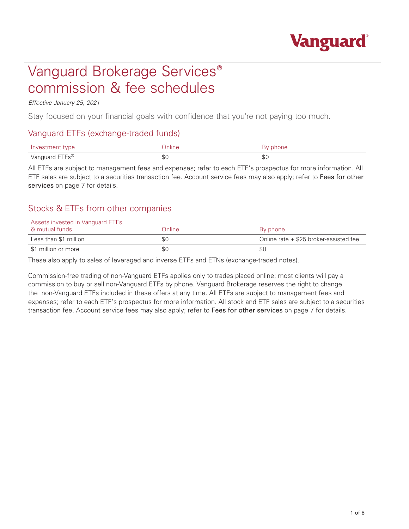

# Vanguard Brokerage Services® commission & fee schedules

#### *Effective January 25, 2021*

Stay focused on your financial goals with confidence that you're not paying too much.

### Vanguard ETFs (exchange-traded funds)

| Investment type | Dnline | By phone |
|-----------------|--------|----------|
| Vanguard ETFs®  | \$C    | \$0      |

All ETFs are subject to management fees and expenses; refer to each ETF's prospectus for more information. All ETF sales are subject to a securities transaction fee. Account service fees may also apply; refer to Fees for other services on page 7 for details.

## Stocks & ETFs from other companies

## Assets invested in Vanguard ETFs

| A mutual funds        | Online | By phone                                 |
|-----------------------|--------|------------------------------------------|
| Less than \$1 million | \$0    | Online rate $+$ \$25 broker-assisted fee |
| \$1 million or more   | \$0    | \$0                                      |

These also apply to sales of leveraged and inverse ETFs and ETNs (exchange-traded notes).

Commission-free trading of non-Vanguard ETFs applies only to trades placed online; most clients will pay a commission to buy or sell non-Vanguard ETFs by phone. Vanguard Brokerage reserves the right to change the non-Vanguard ETFs included in these offers at any time. All ETFs are subject to management fees and expenses; refer to each ETF's prospectus for more information. All stock and ETF sales are subject to a securities transaction fee. Account service fees may also apply; refer to Fees for other services on page 7 for details.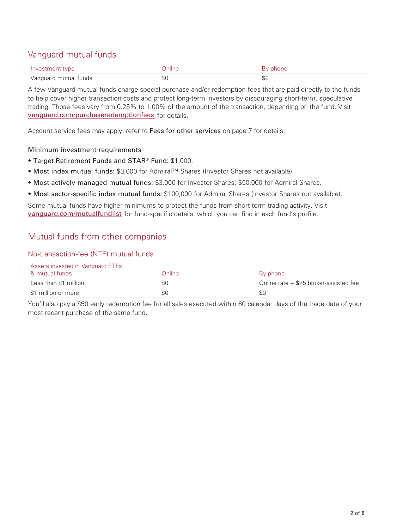# Vanguard mutual funds

| Investment type       | <i>Inline</i>  |    |
|-----------------------|----------------|----|
| Vanguard mutual funds | <u>ሐ</u><br>ъU | ФU |

A few Vanguard mutual funds charge special purchase and/or redemption fees that are paid directly to the funds to help cover higher transaction costs and protect long-term investors by discouraging short-term, speculative trading. Those fees vary from 0.25% to 1.00% of the amount of the transaction, depending on the fund. Visit vanguard.com/purchaseredemptionfees for details.

Account service fees may apply; refer to Fees for other services on page 7 for details.

#### Minimum investment requirements

- Target Retirement Funds and STAR® Fund: \$1,000.
- Most index mutual funds: \$3,000 for Admiral™ Shares (Investor Shares not available).
- Most actively managed mutual funds: \$3,000 for Investor Shares; \$50,000 for Admiral Shares.
- Most sector-specific index mutual funds: \$100,000 for Admiral Shares (Investor Shares not available).

Some mutual funds have higher minimums to protect the funds from short-term trading activity. Visit vanguard.com/mutualfundlist for fund-specific details, which you can find in each fund's profile.

## Mutual funds from other companies

#### No-transaction-fee (NTF) mutual funds

Assets invested in Vanguard ETFs

| & mutual funds        | Online | By phone                               |
|-----------------------|--------|----------------------------------------|
| Less than \$1 million | \$0    | Online rate + \$25 broker-assisted fee |
| \$1 million or more   | \$0    | \$0                                    |

You'll also pay a \$50 early redemption fee for all sales executed within 60 calendar days of the trade date of your most recent purchase of the same fund.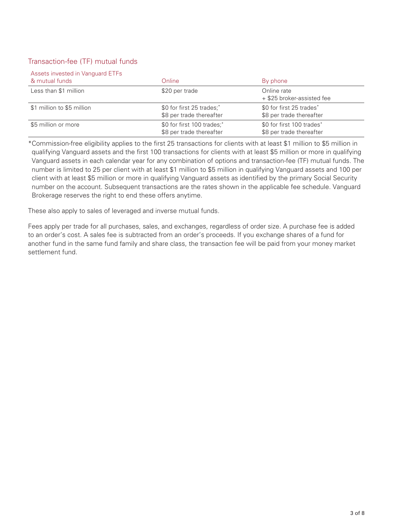#### Transaction-fee (TF) mutual funds

#### Assets invested in Vanguard ETFs

| & mutual funds             | Online                                                 | By phone                                              |
|----------------------------|--------------------------------------------------------|-------------------------------------------------------|
| Less than \$1 million      | \$20 per trade                                         | Online rate<br>+ \$25 broker-assisted fee             |
| \$1 million to \$5 million | \$0 for first 25 trades;*<br>\$8 per trade thereafter  | \$0 for first 25 trades*<br>\$8 per trade thereafter  |
| \$5 million or more        | \$0 for first 100 trades;*<br>\$8 per trade thereafter | \$0 for first 100 trades*<br>\$8 per trade thereafter |

\*Commission-free eligibility applies to the first 25 transactions for clients with at least \$1 million to \$5 million in qualifying Vanguard assets and the first 100 transactions for clients with at least \$5 million or more in qualifying Vanguard assets in each calendar year for any combination of options and transaction-fee (TF) mutual funds. The number is limited to 25 per client with at least \$1 million to \$5 million in qualifying Vanguard assets and 100 per client with at least \$5 million or more in qualifying Vanguard assets as identified by the primary Social Security number on the account. Subsequent transactions are the rates shown in the applicable fee schedule. Vanguard Brokerage reserves the right to end these offers anytime.

These also apply to sales of leveraged and inverse mutual funds.

Fees apply per trade for all purchases, sales, and exchanges, regardless of order size. A purchase fee is added to an order's cost. A sales fee is subtracted from an order's proceeds. If you exchange shares of a fund for another fund in the same fund family and share class, the transaction fee will be paid from your money market settlement fund.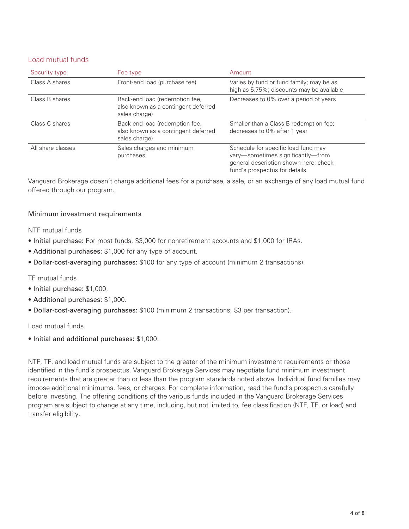#### Load mutual funds

| Security type     | Fee type                                                                               | Amount                                                                                                                                             |
|-------------------|----------------------------------------------------------------------------------------|----------------------------------------------------------------------------------------------------------------------------------------------------|
| Class A shares    | Front-end load (purchase fee)                                                          | Varies by fund or fund family; may be as<br>high as 5.75%; discounts may be available                                                              |
| Class B shares    | Back-end load (redemption fee.<br>also known as a contingent deferred<br>sales charge) | Decreases to 0% over a period of years                                                                                                             |
| Class C shares    | Back-end load (redemption fee.<br>also known as a contingent deferred<br>sales charge) | Smaller than a Class B redemption fee:<br>decreases to 0% after 1 year                                                                             |
| All share classes | Sales charges and minimum<br>purchases                                                 | Schedule for specific load fund may<br>vary-sometimes significantly-from<br>general description shown here; check<br>fund's prospectus for details |

Vanguard Brokerage doesn't charge additional fees for a purchase, a sale, or an exchange of any load mutual fund offered through our program.

#### Minimum investment requirements

NTF mutual funds

- Initial purchase: For most funds, \$3,000 for nonretirement accounts and \$1,000 for IRAs.
- Additional purchases: \$1,000 for any type of account.
- Dollar-cost-averaging purchases: \$100 for any type of account (minimum 2 transactions).

TF mutual funds

- Initial purchase: \$1,000.
- Additional purchases: \$1,000.
- Dollar-cost-averaging purchases: \$100 (minimum 2 transactions, \$3 per transaction).

#### Load mutual funds

• Initial and additional purchases: \$1,000.

NTF, TF, and load mutual funds are subject to the greater of the minimum investment requirements or those identified in the fund's prospectus. Vanguard Brokerage Services may negotiate fund minimum investment requirements that are greater than or less than the program standards noted above. Individual fund families may impose additional minimums, fees, or charges. For complete information, read the fund's prospectus carefully before investing. The offering conditions of the various funds included in the Vanguard Brokerage Services program are subject to change at any time, including, but not limited to, fee classification (NTF, TF, or load) and transfer eligibility.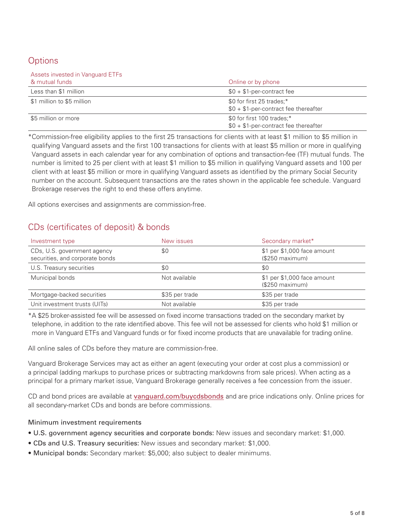# **Options**

| Assets invested in Vanguard ETFs |                                                                      |
|----------------------------------|----------------------------------------------------------------------|
| & mutual funds                   | Online or by phone                                                   |
| Less than \$1 million            | $$0 + $1$ -per-contract fee                                          |
| \$1 million to \$5 million       | \$0 for first 25 trades;*<br>$$0 + $1$ -per-contract fee thereafter  |
| \$5 million or more              | \$0 for first 100 trades;*<br>$$0 + $1$ -per-contract fee thereafter |

\*Commission-free eligibility applies to the first 25 transactions for clients with at least \$1 million to \$5 million in qualifying Vanguard assets and the first 100 transactions for clients with at least \$5 million or more in qualifying Vanguard assets in each calendar year for any combination of options and transaction-fee (TF) mutual funds. The number is limited to 25 per client with at least \$1 million to \$5 million in qualifying Vanguard assets and 100 per client with at least \$5 million or more in qualifying Vanguard assets as identified by the primary Social Security number on the account. Subsequent transactions are the rates shown in the applicable fee schedule. Vanguard Brokerage reserves the right to end these offers anytime.

All options exercises and assignments are commission-free.

# CDs (certificates of deposit) & bonds

| Investment type                                                | New issues     | Secondary market*                               |
|----------------------------------------------------------------|----------------|-------------------------------------------------|
| CDs, U.S. government agency<br>securities, and corporate bonds | \$0            | \$1 per \$1,000 face amount<br>$(S250$ maximum) |
| U.S. Treasury securities                                       | \$0            | \$0                                             |
| Municipal bonds                                                | Not available  | \$1 per \$1,000 face amount<br>(\$250 maximum)  |
| Mortgage-backed securities                                     | \$35 per trade | \$35 per trade                                  |
| Unit investment trusts (UITs)                                  | Not available  | \$35 per trade                                  |

\*A \$25 broker-assisted fee will be assessed on fixed income transactions traded on the secondary market by telephone, in addition to the rate identified above. This fee will not be assessed for clients who hold \$1 million or more in Vanguard ETFs and Vanguard funds or for fixed income products that are unavailable for trading online.

All online sales of CDs before they mature are commission-free.

Vanguard Brokerage Services may act as either an agent (executing your order at cost plus a commission) or a principal (adding markups to purchase prices or subtracting markdowns from sale prices). When acting as a principal for a primary market issue, Vanguard Brokerage generally receives a fee concession from the issuer.

CD and bond prices are available at vanguard.com/buycdsbonds and are price indications only. Online prices for all secondary-market CDs and bonds are before commissions.

#### Minimum investment requirements

- U.S. government agency securities and corporate bonds: New issues and secondary market: \$1,000.
- CDs and U.S. Treasury securities: New issues and secondary market: \$1,000.
- Municipal bonds: Secondary market: \$5,000; also subject to dealer minimums.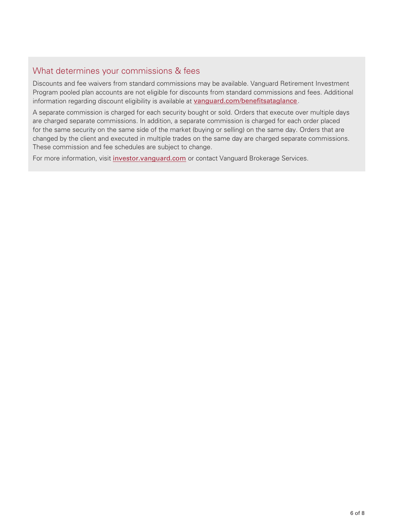## What determines your commissions & fees

Discounts and fee waivers from standard commissions may be available. Vanguard Retirement Investment Program pooled plan accounts are not eligible for discounts from standard commissions and fees. Additional information regarding discount eligibility is available at vanguard.com/benefitsataglance.

A separate commission is charged for each security bought or sold. Orders that execute over multiple days are charged separate commissions. In addition, a separate commission is charged for each order placed for the same security on the same side of the market (buying or selling) on the same day. Orders that are changed by the client and executed in multiple trades on the same day are charged separate commissions. These commission and fee schedules are subject to change.

For more information, visit investor.vanguard.com or contact Vanguard Brokerage Services.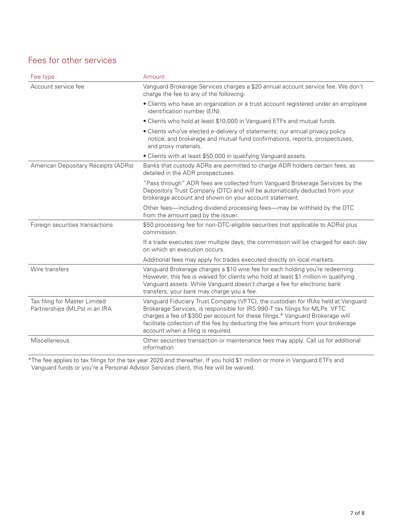# Fees for other services

| Fee type                                                       | Amount                                                                                                                                                                                                                                                                                                                                                                      |
|----------------------------------------------------------------|-----------------------------------------------------------------------------------------------------------------------------------------------------------------------------------------------------------------------------------------------------------------------------------------------------------------------------------------------------------------------------|
| Account service fee                                            | Vanguard Brokerage Services charges a \$20 annual account service fee. We don't<br>charge the fee to any of the following:                                                                                                                                                                                                                                                  |
|                                                                | • Clients who have an organization or a trust account registered under an employee<br>identification number (EIN).                                                                                                                                                                                                                                                          |
|                                                                | • Clients who hold at least \$10,000 in Vanguard ETFs and mutual funds.                                                                                                                                                                                                                                                                                                     |
|                                                                | • Clients who've elected e-delivery of statements; our annual privacy policy<br>notice; and brokerage and mutual fund confirmations, reports, prospectuses,<br>and proxy materials.                                                                                                                                                                                         |
|                                                                | • Clients with at least \$50,000 in qualifying Vanguard assets.                                                                                                                                                                                                                                                                                                             |
| American Depositary Receipts (ADRs)                            | Banks that custody ADRs are permitted to charge ADR holders certain fees, as<br>detailed in the ADR prospectuses.                                                                                                                                                                                                                                                           |
|                                                                | "Pass through" ADR fees are collected from Vanguard Brokerage Services by the<br>Depository Trust Company (DTC) and will be automatically deducted from your<br>brokerage account and shown on your account statement.                                                                                                                                                      |
|                                                                | Other fees—including dividend processing fees—may be withheld by the DTC<br>from the amount paid by the issuer.                                                                                                                                                                                                                                                             |
| Foreign securities transactions                                | \$50 processing fee for non-DTC-eligible securities (not applicable to ADRs) plus<br>commission.                                                                                                                                                                                                                                                                            |
|                                                                | If a trade executes over multiple days, the commission will be charged for each day<br>on which an execution occurs.                                                                                                                                                                                                                                                        |
|                                                                | Additional fees may apply for trades executed directly on local markets.                                                                                                                                                                                                                                                                                                    |
| Wire transfers                                                 | Vanguard Brokerage charges a \$10 wire fee for each holding you're redeeming.<br>However, this fee is waived for clients who hold at least \$1 million in qualifying<br>Vanguard assets. While Vanguard doesn't charge a fee for electronic bank<br>transfers, your bank may charge you a fee.                                                                              |
| Tax filing for Master Limited<br>Partnerships (MLPs) in an IRA | Vanguard Fiduciary Trust Company (VFTC), the custodian for IRAs held at Vanguard<br>Brokerage Services, is responsible for IRS 990-T tax filings for MLPs. VFTC<br>charges a fee of \$300 per account for these filings.* Vanguard Brokerage will<br>facilitate collection of the fee by deducting the fee amount from your brokerage<br>account when a filing is required. |
| Miscellaneous                                                  | Other securities transaction or maintenance fees may apply. Call us for additional<br>information.                                                                                                                                                                                                                                                                          |

\*The fee applies to tax filings for the tax year 2020 and thereafter. If you hold \$1 million or more in Vanguard ETFs and Vanguard funds or you're a Personal Advisor Services client, this fee will be waived.